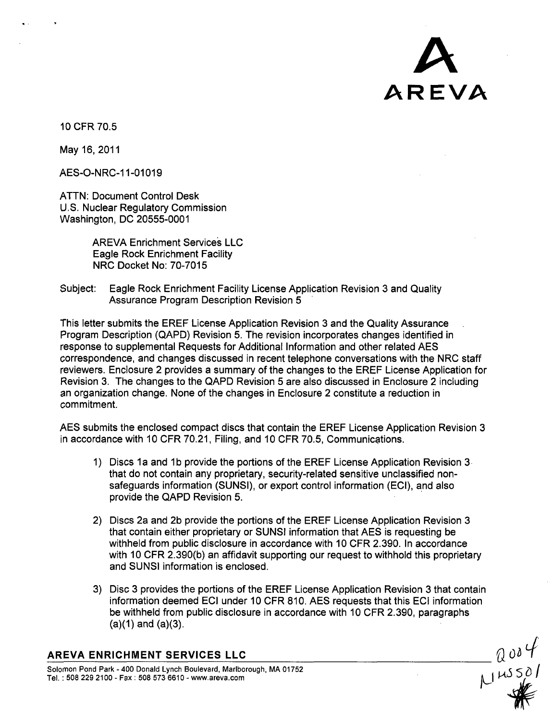

10 CFR 70.5

May 16, 2011

AES-O-NRC-11-01019

ATTN: Document Control Desk U.S. Nuclear Regulatory Commission Washington, DC 20555-0001

> AREVA Enrichment Services LLC Eagle Rock Enrichment Facility NRC Docket No: 70-7015

Subject: Eagle Rock Enrichment Facility License Application Revision 3 and Quality Assurance Program Description Revision 5

This letter submits the EREF License Application Revision 3 and the Quality Assurance Program Description (QAPD) Revision 5. The revision incorporates changes identified in response to supplemental Requests for Additional Information and other related AES correspondence, and changes discussed in recent telephone conversations with the NRC staff reviewers. Enclosure 2 provides a summary of the changes to the EREF License Application for Revision 3. The changes to the QAPD Revision 5 are also discussed in Enclosure 2 including an organization change. None of the changes in Enclosure 2 constitute a reduction in commitment.

AES submits the enclosed compact discs that contain the EREF License Application Revision 3 in accordance with 10 CFR 70.21, Filing, and 10 CFR 70.5, Communications.

- 1) Discs **1** a and **1** b provide the portions of the EREF License Application Revision 3 that do not contain any proprietary, security-related sensitive unclassified nonsafeguards information (SUNSI), or export control information (ECI), and also provide the QAPD Revision 5.
- 2) Discs 2a and 2b provide the portions of the EREF License Application Revision 3 that contain either proprietary or SUNSI information that AES is requesting be withheld from public disclosure in accordance with 10 CFR 2.390. In accordance with 10 CFR 2.390(b) an affidavit supporting our request to withhold this proprietary and SUNSI information is enclosed.
- 3) Disc 3 provides the portions of the EREF License Application Revision 3 that contain information deemed ECI under 10 CFR 810. AES requests that this ECI information be withheld from public disclosure in accordance with 10 CFR 2.390, paragraphs  $(a)(1)$  and  $(a)(3)$ .

## AREVA **ENRICHMENT SERVICES LLC**

Solomon Pond Park - 400 Donald Lynch Boulevard, Marlborough, MA 01752<br>Tel.: 508 229 2100 - Fax : 508 573 6610 - www.areva.com

 $\frac{20004}{1405501}$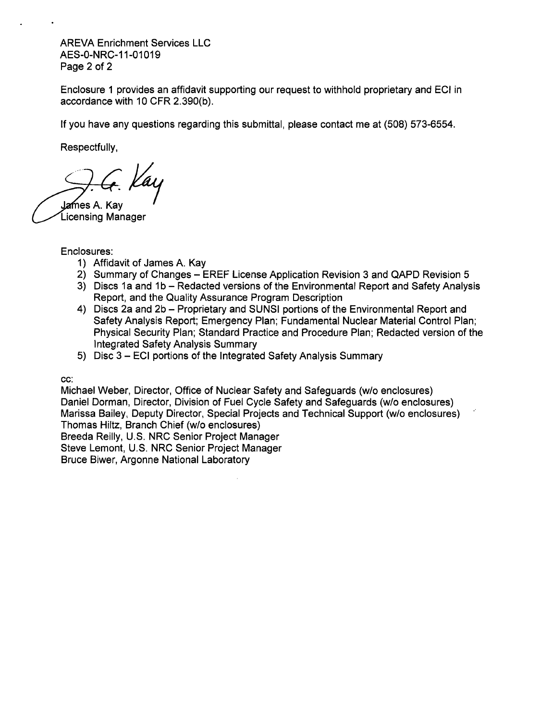AREVA Enrichment Services LLC AES-0-NRC-11-01019 Page 2 of 2

Enclosure 1 provides an affidavit supporting our request to withhold proprietary and ECI in accordance with 10 CFR 2.390(b).

If you have any questions regarding this submittal, please contact me at (508) 573-6554.

Respectfully,

James A. Kav Licensing Manager

## Enclosures:

- 1) Affidavit of James A. Kay
- 2) Summary of Changes EREF License Application Revision 3 and QAPD Revision 5
- 3) Discs **1** a and **1 b**  Redacted versions of the Environmental Report and Safety Analysis Report, and the Quality Assurance Program Description
- 4) Discs 2a and 2b Proprietary and SUNSI portions of the Environmental Report and Safety Analysis Report; Emergency Plan; Fundamental Nuclear Material Control Plan; Physical Security Plan; Standard Practice and Procedure Plan; Redacted version of the Integrated Safety Analysis Summary
- 5) Disc 3 **ECI** portions of the Integrated Safety Analysis Summary

cc:

Michael Weber, Director, Office of Nuclear Safety and Safeguards (w/o enclosures) Daniel Dorman, Director, Division of Fuel Cycle Safety and Safeguards (w/o enclosures) Marissa Bailey, Deputy Director, Special Projects and Technical Support (w/o enclosures) Thomas Hiltz, Branch Chief (w/o enclosures) Breeda Reilly, U.S. NRC Senior Project Manager Steve Lemont, U.S. NRC Senior Project Manager

Bruce Biwer, Argonne National Laboratory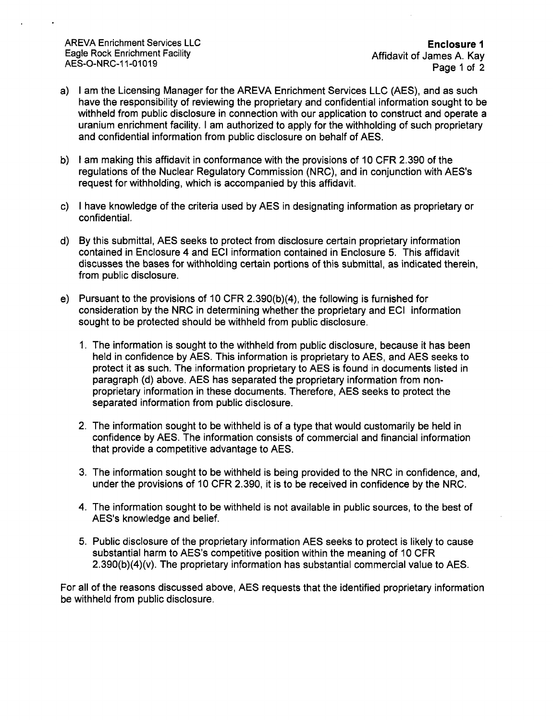AREVA Enrichment Services LLC **Enclosure 1** Eagle Rock Enrichment Facility Affidavit of James A. Kay

AES-O-NRC-11-01019 Page 1 of 2

- a) I am the Licensing Manager for the AREVA Enrichment Services LLC (AES), and as such have the responsibility of reviewing the proprietary and confidential information sought to be withheld from public disclosure in connection with our application to construct and operate a uranium enrichment facility. I am authorized to apply for the withholding of such proprietary and confidential information from public disclosure on behalf of AES.
- b) I am making this affidavit in conformance with the provisions of 10 CFR 2.390 of the regulations of the Nuclear Regulatory Commission (NRC), and in conjunction with AES's request for withholding, which is accompanied by this affidavit.
- c) I have knowledge of the criteria used by AES in designating information as proprietary or confidential.
- d) By this submittal, AES seeks to protect from disclosure certain proprietary information contained in Enclosure 4 and **ECI** information contained in Enclosure 5. This affidavit discusses the bases for withholding certain portions of this submittal, as indicated therein, from public disclosure.
- e) Pursuant to the provisions of 10 CFR 2.390(b)(4), the following is furnished for consideration by the NRC in determining whether the proprietary and **ECI** information sought to be protected should be withheld from public disclosure.
	- 1. The information is sought to the withheld from public disclosure, because it has been held in confidence by AES. This information is proprietary to AES, and AES seeks to protect it as such. The information proprietary to AES is found in documents listed in paragraph (d) above. AES has separated the proprietary information from nonproprietary information in these documents. Therefore, AES seeks to protect the separated information from public disclosure.
	- 2. The information sought to be withheld is of a type that would customarily be held in confidence by AES. The information consists of commercial and financial information that provide a competitive advantage to AES.
	- 3. The information sought to be withheld is being provided to the NRC in confidence, and, under the provisions of 10 CFR 2.390, it is to be received in confidence by the NRC.
	- 4. The information sought to be withheld is not available in public sources, to the best of AES's knowledge and belief.
	- 5. Public disclosure of the proprietary information AES seeks to protect is likely to cause substantial harm to AES's competitive position within the meaning of 10 CFR 2.390(b)(4)(v). The proprietary information has substantial commercial value to AES.

For all of the reasons discussed above, AES requests that the identified proprietary information be withheld from public disclosure.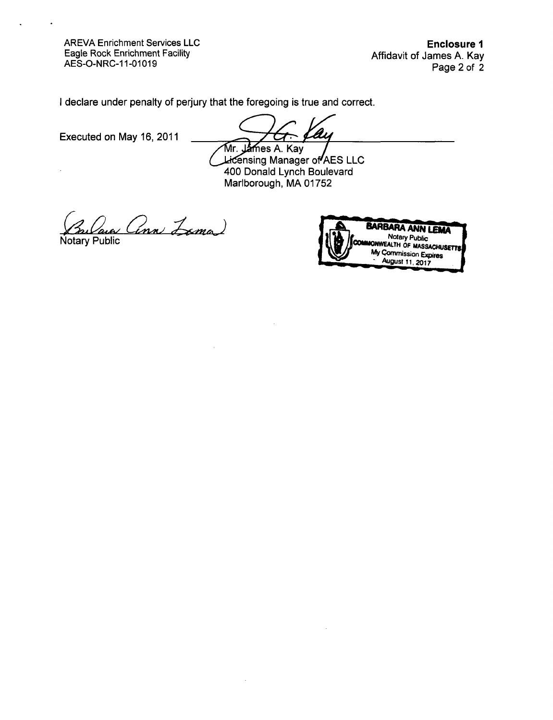AREVA Enrichment Services LLC Eagle Rock Enrichment Facility AES-O-NRC-11-01019

Enclosure **I** Affidavit of James A. Kay Page 2 of 2

I declare under penalty of perjury that the foregoing is true and correct.

Executed on May 16, 2011

A

Mr. J**am**es A. Kay<br>Licensing Manager of AES LLC 400 Donald Lynch Boulevard Marlborough, MA 01752



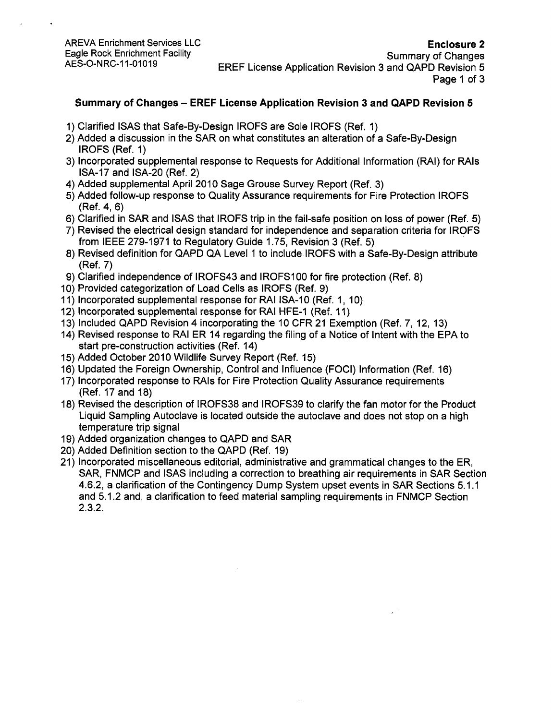## Summary of Changes - EREF License Application Revision **3** and QAPD Revision 5

- 1) Clarified ISAS that Safe-By-Design IROFS are Sole IROFS (Ref. 1)
- 2) Added a discussion in the SAR on what constitutes an alteration of a Safe-By-Design IROFS (Ref. 1)
- 3) Incorporated supplemental response to Requests for Additional Information (RAI) for RAls ISA-17 and ISA-20 (Ref. 2)
- 4) Added supplemental April 2010 Sage Grouse Survey Report (Ref. 3)
- 5) Added follow-up response to Quality Assurance requirements for Fire Protection IROFS (Ref. 4, 6)
- 6) Clarified in SAR and ISAS that IROFS trip in the fail-safe position on loss of power (Ref. 5)
- 7) Revised the electrical design standard for independence and separation criteria for IROFS from IEEE 279-1971 to Regulatory Guide 1.75, Revision 3 (Ref. 5)
- 8) Revised definition for QAPD QA Level 1 to include IROFS with a Safe-By-Design attribute (Ref. 7)
- 9) Clarified independence of IROFS43 and IROFS100 for fire protection (Ref. 8)
- 10) Provided categorization of Load Cells as IROFS (Ref. 9)
- 11) Incorporated supplemental response for RAI ISA-10 (Ref. 1, 10)
- 12) Incorporated supplemental response for RAI HFE-1 (Ref. 11)
- 13) Included QAPD Revision 4 incorporating the 10 CFR 21 Exemption (Ref. 7, 12, 13)
- 14) Revised response to RAI ER 14 regarding the filing of a Notice of Intent with the EPA to start pre-construction activities (Ref. 14)
- 15) Added October 2010 Wildlife Survey Report (Ref. 15)
- 16) Updated the Foreign Ownership, Control and Influence (FOCI) Information (Ref. 16)
- 17) Incorporated response to RAls for Fire Protection Quality Assurance requirements (Ref. 17 and 18)
- 18) Revised the description of IROFS38 and IROFS39 to clarify the fan motor for the Product Liquid Sampling Autoclave is located outside the autoclave and does not stop on a high temperature trip signal
- 19) Added organization changes to QAPD and SAR
- 20) Added Definition section to the QAPD (Ref. 19)
- 21) Incorporated miscellaneous editorial, administrative and grammatical changes to the ER, SAR, FNMCP and ISAS including a correction to breathing air requirements in SAR Section 4.6.2, a clarification of the Contingency Dump System upset events in SAR Sections 5.1.1 and 5.1.2 and, a clarification to feed material sampling requirements in FNMCP Section 2.3.2.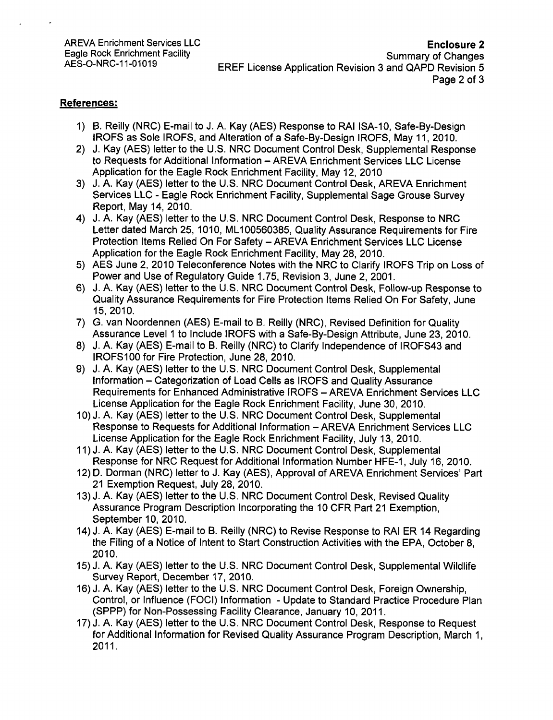## References:

- 1) B. Reilly (NRC) E-mail to J. A. Kay (AES) Response to RAI ISA-10, Safe-By-Design IROFS as Sole IROFS, and Alteration of a Safe-By-Design IROFS, May 11, 2010.
- 2) J. Kay (AES) letter to the U.S. NRC Document Control Desk, Supplemental Response to Requests for Additional Information - AREVA Enrichment Services LLC License Application for the Eagle Rock Enrichment Facility, May 12, 2010
- 3) J. A. Kay (AES) letter to the U.S. NRC Document Control Desk, AREVA Enrichment Services LLC - Eagle Rock Enrichment Facility, Supplemental Sage Grouse Survey Report, May 14, 2010.
- 4) J. A. Kay (AES) letter to the U.S. NRC Document Control Desk, Response to NRC Letter dated March 25, 1010, ML1 00560385, Quality Assurance Requirements for Fire Protection Items Relied On For Safety - AREVA Enrichment Services LLC License Application for the Eagle Rock Enrichment Facility, May 28, 2010.
- 5) AES June 2, 2010 Teleconference Notes with the NRC to Clarify IROFS Trip on Loss of Power and Use of Regulatory Guide 1.75, Revision 3, June 2, 2001.
- 6) J. A. Kay (AES) letter to the U.S. NRC Document Control Desk, Follow-up Response to Quality Assurance Requirements for Fire Protection Items Relied On For Safety, June 15, 2010.
- 7) G. van Noordennen (AES) E-mail to B. Reilly (NRC), Revised Definition for Quality Assurance Level **1** to Include IROFS with a Safe-By-Design Attribute, June 23, 2010.
- 8) J. A. Kay (AES) E-mail to B. Reilly (NRC) to Clarify Independence of IROFS43 and IROFS100 for Fire Protection, June 28, 2010.
- 9) J. A. Kay (AES) letter to the U.S. NRC Document Control Desk, Supplemental Information - Categorization of Load Cells as IROFS and Quality Assurance Requirements for Enhanced Administrative IROFS - AREVA Enrichment Services LLC License Application for the Eagle Rock Enrichment Facility, June 30, 2010.
- 10) J. A. Kay (AES) letter to the U.S. NRC Document Control Desk, Supplemental Response to Requests for Additional Information - AREVA Enrichment Services LLC License Application for the Eagle Rock Enrichment Facility, July 13, 2010.
- 11) J. A. Kay (AES) letter to the U.S. NRC Document Control Desk, Supplemental Response for NRC Request for Additional Information Number HFE-1, July 16, 2010.
- 12) D. Dorman (NRC) letter to J. Kay (AES), Approval of AREVA Enrichment Services' Part 21 Exemption Request, July 28, 2010.
- 13) J. A. Kay (AES) letter to the U.S. NRC Document Control Desk, Revised Quality Assurance Program Description Incorporating the 10 CFR Part 21 Exemption, September 10, 2010.
- 14) J. A. Kay (AES) E-mail to B. Reilly (NRC) to Revise Response to RAI ER 14 Regarding the Filing of a Notice of Intent to Start Construction Activities with the EPA, October 8, 2010.
- 15) J. A. Kay (AES) letter to the U.S. NRC Document Control Desk, Supplemental Wildlife Survey Report, December 17, 2010.
- 16) J. A. Kay (AES) letter to the U.S. NRC Document Control Desk, Foreign Ownership, Control, or Influence (FOCI) Information - Update to Standard Practice Procedure Plan (SPPP) for Non-Possessing Facility Clearance, January 10, 2011.
- 17) J. A. Kay (AES) letter to the U.S. NRC Document Control Desk, Response to Request for Additional Information for Revised Quality Assurance Program Description, March 1, 2011.